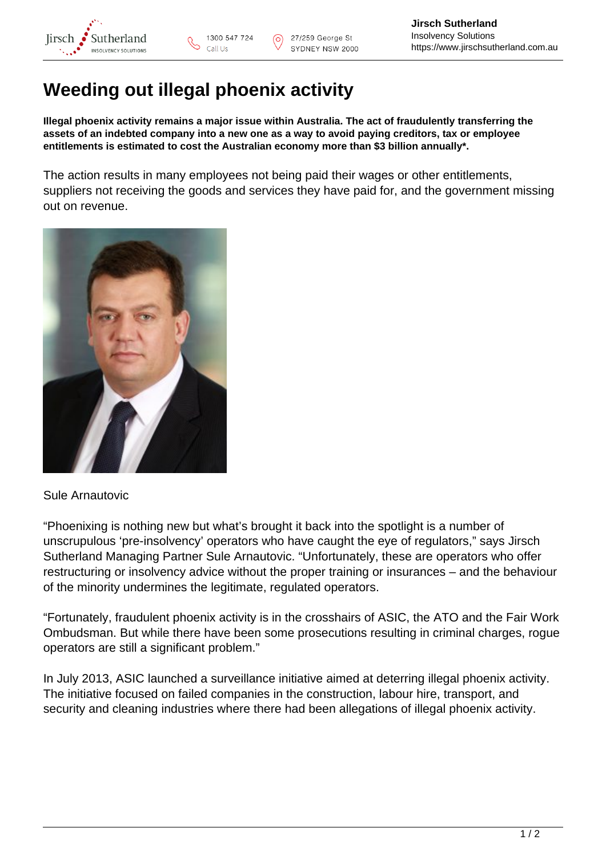

## **Weeding out illegal phoenix activity**

**Illegal phoenix activity remains a major issue within Australia. The act of fraudulently transferring the assets of an indebted company into a new one as a way to avoid paying creditors, tax or employee entitlements is estimated to cost the Australian economy more than \$3 billion annually\*.**

The action results in many employees not being paid their wages or other entitlements, suppliers not receiving the goods and services they have paid for, and the government missing out on revenue.



## Sule Arnautovic

"Phoenixing is nothing new but what's brought it back into the spotlight is a number of unscrupulous 'pre-insolvency' operators who have caught the eye of regulators," says Jirsch Sutherland Managing Partner Sule Arnautovic. "Unfortunately, these are operators who offer restructuring or insolvency advice without the proper training or insurances – and the behaviour of the minority undermines the legitimate, regulated operators.

"Fortunately, fraudulent phoenix activity is in the crosshairs of ASIC, the ATO and the Fair Work Ombudsman. But while there have been some prosecutions resulting in criminal charges, rogue operators are still a significant problem."

In July 2013, ASIC launched a surveillance initiative aimed at deterring illegal phoenix activity. The initiative focused on failed companies in the construction, labour hire, transport, and security and cleaning industries where there had been allegations of illegal phoenix activity.